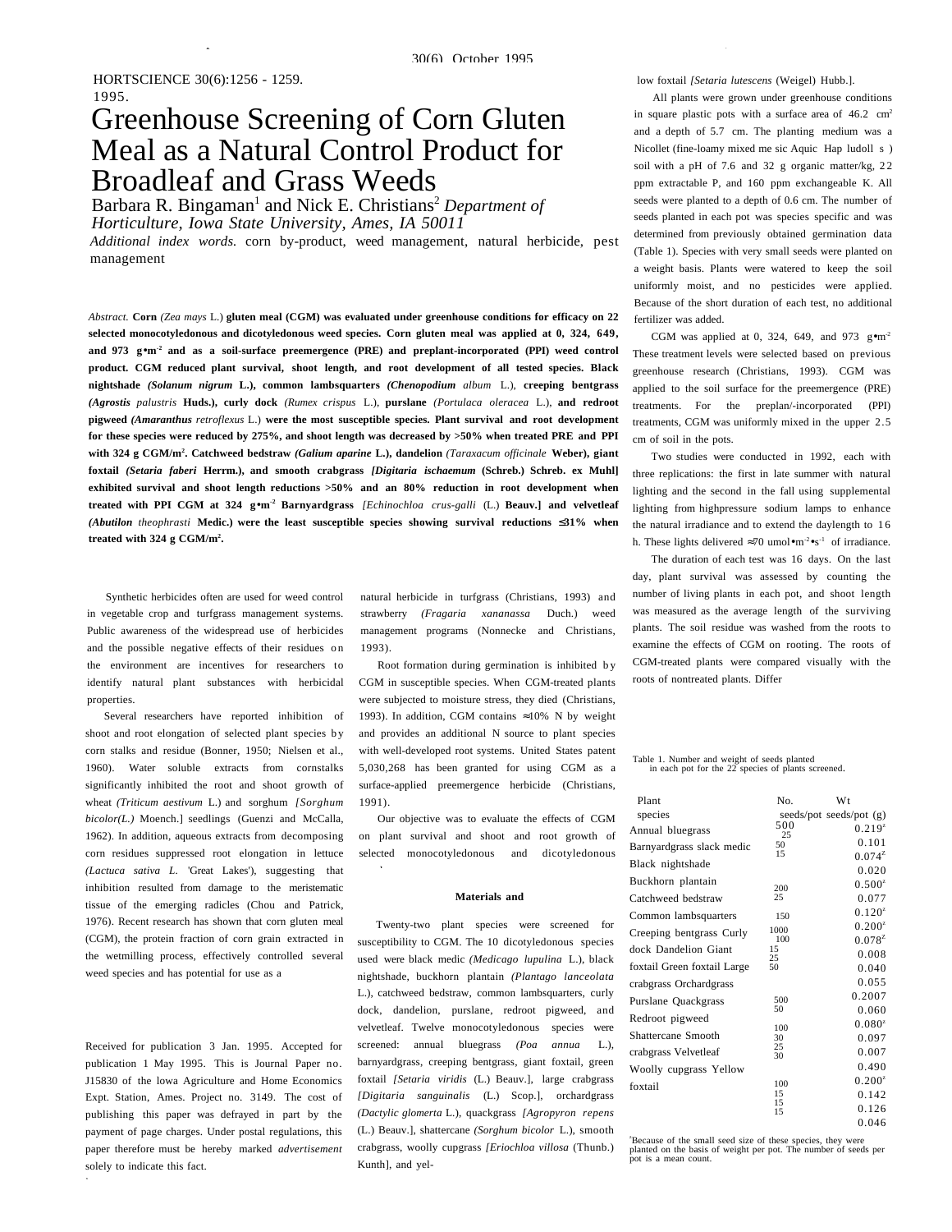# Greenhouse Screening of Corn Gluten Meal as a Natural Control Product for Broadleaf and Grass Weeds

Barbara R. Bingaman<sup>1</sup> and Nick E. Christians<sup>2</sup> Department of *Horticulture, Iowa State University, Ames, IA 50011*

*Additional index words.* corn by-product, weed management, natural herbicide, pest management

*Abstract.* **Corn** *(Zea mays* L.) **gluten meal (CGM) was evaluated under greenhouse conditions for efficacy on 22 selected monocotyledonous and dicotyledonous weed species. Corn gluten meal was applied at 0, 324, 649, and 973 g**•**m-2 and as a soil-surface preemergence (PRE) and preplant-incorporated (PPI) weed control product. CGM reduced plant survival, shoot length, and root development of all tested species. Black nightshade** *(Solanum nigrum* **L.), common lambsquarters** *(Chenopodium album* L.), **creeping bentgrass** *(Agrostis palustris* **Huds.), curly dock** *(Rumex crispus* L.), **purslane** *(Portulaca oleracea* L.), **and redroot pigweed** *(Amaranthus retroflexus* L.) **were the most susceptible species. Plant survival and root development for these species were reduced by 275%, and shoot length was decreased by >50% when treated PRE and PPI with 324 g CGM/m2 . Catchweed bedstraw** *(Galium aparine* **L.), dandelion** *(Taraxacum officinale* **Weber), giant foxtail** *(Setaria faberi* **Herrm.), and smooth crabgrass** *[Digitaria ischaemum* **(Schreb.) Schreb. ex Muhl] exhibited survival and shoot length reductions >50% and an 80% reduction in root development when treated with PPI CGM at 324 g**•**m-2 Barnyardgrass** *[Echinochloa crus-galli* (L.) **Beauv.] and velvetleaf** *(Abutilon theophrasti* **Medic.) were the least susceptible species showing survival reductions** ≤**31% when treated with 324 g CGM/m2 .**

Synthetic herbicides often are used for weed control in vegetable crop and turfgrass management systems. Public awareness of the widespread use of herbicides and the possible negative effects of their residues on the environment are incentives for researchers to identify natural plant substances with herbicidal properties.

Several researchers have reported inhibition of shoot and root elongation of selected plant species by corn stalks and residue (Bonner, 1950; Nielsen et al., 1960). Water soluble extracts from cornstalks significantly inhibited the root and shoot growth of wheat *(Triticum aestivum* L.) and sorghum *[Sorghum bicolor(L.)* Moench.] seedlings (Guenzi and McCalla, 1962). In addition, aqueous extracts from decomposing corn residues suppressed root elongation in lettuce *(Lactuca sativa L.* 'Great Lakes'), suggesting that inhibition resulted from damage to the meristematic tissue of the emerging radicles (Chou and Patrick, 1976). Recent research has shown that corn gluten meal (CGM), the protein fraction of corn grain extracted in the wetmilling process, effectively controlled several weed species and has potential for use as a

Received for publication 3 Jan. 1995. Accepted for publication 1 May 1995. This is Journal Paper no. J15830 of the lowa Agriculture and Home Economics Expt. Station, Ames. Project no. 3149. The cost of publishing this paper was defrayed in part by the payment of page charges. Under postal regulations, this paper therefore must be hereby marked *advertisement* solely to indicate this fact.

1

natural herbicide in turfgrass (Christians, 1993) and strawberry *(Fragaria xananassa* Duch.) weed management programs (Nonnecke and Christians, 1993).

Root formation during germination is inhibited b y CGM in susceptible species. When CGM-treated plants were subjected to moisture stress, they died (Christians, 1993). In addition, CGM contains  $\approx 10\%$  N by weight and provides an additional N source to plant species with well-developed root systems. United States patent 5,030,268 has been granted for using CGM as a surface-applied preemergence herbicide (Christians, 1991).

Our objective was to evaluate the effects of CGM on plant survival and shoot and root growth of selected monocotyledonous and dicotyledonous

d

### **Materials and**

Twenty-two plant species were screened for susceptibility to CGM. The 10 dicotyledonous species used were black medic *(Medicago lupulina* L.), black nightshade, buckhorn plantain *(Plantago lanceolata* L.), catchweed bedstraw, common lambsquarters, curly dock, dandelion, purslane, redroot pigweed, and velvetleaf. Twelve monocotyledonous species were screened: annual bluegrass *(Poa annua* L.), barnyardgrass, creeping bentgrass, giant foxtail, green foxtail *[Setaria viridis* (L.) Beauv.], large crabgrass *[Digitaria sanguinalis* (L.) Scop.], orchardgrass *(Dactylic glomerta* L.), quackgrass *[Agropyron repens* (L.) Beauv.], shattercane *(Sorghum bicolor* L.), smooth crabgrass, woolly cupgrass *[Eriochloa villosa* (Thunb.) Kunth], and yellow foxtail *[Setaria lutescens* (Weigel) Hubb.].

All plants were grown under greenhouse conditions in square plastic pots with a surface area of  $46.2 \text{ cm}^2$ and a depth of 5.7 cm. The planting medium was a Nicollet (fine-loamy mixed me sic Aquic Hap ludoll s ) soil with a pH of 7.6 and 32 g organic matter/kg,  $22$ ppm extractable P, and 160 ppm exchangeable K. All seeds were planted to a depth of 0.6 cm. The number of seeds planted in each pot was species specific and was determined from previously obtained germination data (Table 1). Species with very small seeds were planted on a weight basis. Plants were watered to keep the soil uniformly moist, and no pesticides were applied. Because of the short duration of each test, no additional fertilizer was added.

CGM was applied at 0, 324, 649, and 973  $\text{g} \cdot \text{m}^{-2}$ These treatment levels were selected based on previous greenhouse research (Christians, 1993). CGM was applied to the soil surface for the preemergence (PRE) treatments. For the preplan/-incorporated (PPI) treatments, CGM was uniformly mixed in the upper 2.5 cm of soil in the pots.

Two studies were conducted in 1992, each with three replications: the first in late summer with natural lighting and the second in the fall using supplemental lighting from highpressure sodium lamps to enhance the natural irradiance and to extend the daylength to 1 6 h. These lights delivered  $\approx 70$  umol•m<sup>-2</sup>•s<sup>-1</sup> of irradiance.

The duration of each test was 16 days. On the last day, plant survival was assessed by counting the number of living plants in each pot, and shoot length was measured as the average length of the surviving plants. The soil residue was washed from the roots to examine the effects of CGM on rooting. The roots of CGM-treated plants were compared visually with the roots of nontreated plants. Differ

# Table 1. Number and weight of seeds planted in each pot for the 22 species of plants screened.

| Plant                       | No.       | <b>W</b> t              |
|-----------------------------|-----------|-------------------------|
| species                     |           | seeds/pot seeds/pot (g) |
| Annual bluegrass            | 500<br>25 | $0.219^{z}$             |
| Barnyardgrass slack medic   | 50        | 0.101                   |
| Black nightshade            | 15        | $0.074^{z}$             |
|                             |           | 0.020                   |
| Buckhorn plantain           | 200       | $0.500^{z}$             |
| Catchweed bedstraw          | 25        | 0.077                   |
| Common lambsquarters        | 150       | $0.120^{z}$             |
| Creeping bentgrass Curly    | 1000      | $0.200^{z}$             |
|                             | 100       | $0.078^{2}$             |
| dock Dandelion Giant        | 15<br>25  | 0.008                   |
| foxtail Green foxtail Large | 50        | 0.040                   |
| crabgrass Orchardgrass      |           | 0.055                   |
| Purslane Quackgrass         | 500       | 0.2007                  |
| Redroot pigweed             | 50        | 0.060                   |
|                             | 100       | $0.080^{z}$             |
| Shattercane Smooth          | 30        | 0.097                   |
| crabgrass Velvetleaf        | 25<br>30  | 0.007                   |
| Woolly cupgrass Yellow      |           | 0.490                   |
| foxtail                     | 100       | $0.200^{z}$             |
|                             | 15        | 0.142                   |
|                             | 15<br>15  | 0.126                   |
|                             |           | 0.046                   |

z Because of the small seed size of these species, they were planted on the basis of weight per pot. The number of seeds per pot is a mean count.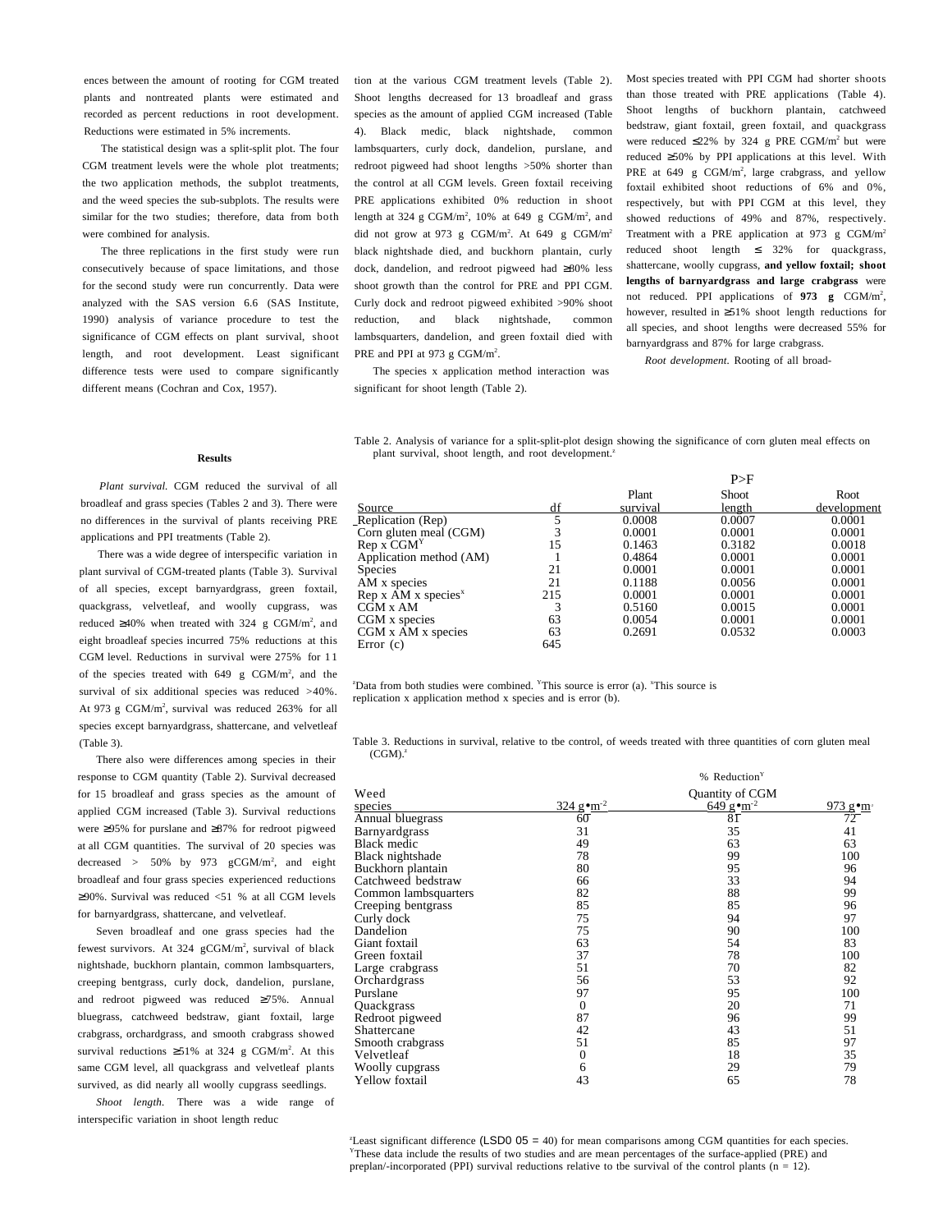ences between the amount of rooting for CGM treated plants and nontreated plants were estimated and recorded as percent reductions in root development. Reductions were estimated in 5% increments.

The statistical design was a split-split plot. The four CGM treatment levels were the whole plot treatments; the two application methods, the subplot treatments, and the weed species the sub-subplots. The results were similar for the two studies; therefore, data from both were combined for analysis.

The three replications in the first study were run consecutively because of space limitations, and those for the second study were run concurrently. Data were analyzed with the SAS version 6.6 (SAS Institute, 1990) analysis of variance procedure to test the significance of CGM effects on plant survival, shoot length, and root development. Least significant difference tests were used to compare significantly different means (Cochran and Cox, 1957).

tion at the various CGM treatment levels (Table 2). Shoot lengths decreased for 13 broadleaf and grass species as the amount of applied CGM increased (Table 4). Black medic, black nightshade, common lambsquarters, curly dock, dandelion, purslane, and redroot pigweed had shoot lengths >50% shorter than the control at all CGM levels. Green foxtail receiving PRE applications exhibited 0% reduction in shoot length at 324 g CGM/m<sup>2</sup>, 10% at 649 g CGM/m<sup>2</sup>, and did not grow at 973 g  $CGM/m^2$ . At 649 g  $CGM/m^2$ black nightshade died, and buckhorn plantain, curly dock, dandelion, and redroot pigweed had ≥80% less shoot growth than the control for PRE and PPI CGM. Curly dock and redroot pigweed exhibited >90% shoot reduction, and black nightshade, common lambsquarters, dandelion, and green foxtail died with PRE and PPI at 973 g CGM/ $m^2$ .

The species x application method interaction was significant for shoot length (Table 2).

plant survival, shoot length, and root development.<sup>2</sup>

Most species treated with PPI CGM had shorter shoots than those treated with PRE applications (Table 4). Shoot lengths of buckhorn plantain, catchweed bedstraw, giant foxtail, green foxtail, and quackgrass were reduced  $\leq$ 22% by 324 g PRE CGM/m<sup>2</sup> but were reduced ≥50% by PPI applications at this level. With PRE at 649 g CGM/m<sup>2</sup>, large crabgrass, and yellow foxtail exhibited shoot reductions of 6% and 0%, respectively, but with PPI CGM at this level, they showed reductions of 49% and 87%, respectively. Treatment with a PRE application at 973 g CGM/m2 reduced shoot length ≤ 32% for quackgrass, shattercane, woolly cupgrass, **and yellow foxtail; shoot lengths of barnyardgrass and large crabgrass** were not reduced. PPI applications of 973 g CGM/m<sup>2</sup>, however, resulted in ≥51% shoot length reductions for all species, and shoot lengths were decreased 55% for barnyardgrass and 87% for large crabgrass.

*Root development.* Rooting of all broad-

 $\mathbf{D} \setminus \mathbf{F}$ 

#### **Results**

*Plant survival.* CGM reduced the survival of all broadleaf and grass species (Tables 2 and 3). There were no differences in the survival of plants receiving PRE applications and PPI treatments (Table 2).

There was a wide degree of interspecific variation in plant survival of CGM-treated plants (Table 3). Survival of all species, except barnyardgrass, green foxtail, quackgrass, velvetleaf, and woolly cupgrass, was reduced ≥40% when treated with 324 g CGM/m<sup>2</sup>, and eight broadleaf species incurred 75% reductions at this CGM level. Reductions in survival were 275% for 1 1 of the species treated with  $649$  g CGM/m<sup>2</sup>, and the survival of six additional species was reduced  $>40\%$ . At 973 g  $CGM/m^2$ , survival was reduced 263% for all species except barnyardgrass, shattercane, and velvetleaf (Table 3).

There also were differences among species in their response to CGM quantity (Table 2). Survival decreased for 15 broadleaf and grass species as the amount of applied CGM increased (Table 3). Survival reductions were ≥95% for purslane and ≥87% for redroot pigweed at all CGM quantities. The survival of 20 species was decreased >  $50\%$  by 973  $gCGM/m^2$ , and eight broadleaf and four grass species experienced reductions ≥90%. Survival was reduced  $\leq 51$  % at all CGM levels for barnyardgrass, shattercane, and velvetleaf.

Seven broadleaf and one grass species had the fewest survivors. At 324 gCGM/m<sup>2</sup>, survival of black nightshade, buckhorn plantain, common lambsquarters, creeping bentgrass, curly dock, dandelion, purslane, and redroot pigweed was reduced ≥75%. Annual bluegrass, catchweed bedstraw, giant foxtail, large crabgrass, orchardgrass, and smooth crabgrass showed survival reductions  $\geq 51\%$  at 324 g CGM/m<sup>2</sup>. At this same CGM level, all quackgrass and velvetleaf plants survived, as did nearly all woolly cupgrass seedlings.

*Shoot length.* There was a wide range of interspecific variation in shoot length reduc

|                                             |    | $\sim$   |        |             |  |
|---------------------------------------------|----|----------|--------|-------------|--|
|                                             |    | Plant    | Shoot  | Root        |  |
| Source                                      | df | survival | length | development |  |
| Replication $(\text{Rep})$                  |    | 0.0008   | 0.0007 | 0.0001      |  |
| Corn gluten meal (CGM)                      |    | 0.0001   | 0.0001 | 0.0001      |  |
| $\operatorname{Rep} X \operatorname{CGM}^Y$ |    | 0.1463   | 0.3182 | 0.0018      |  |
| Application method (AM)                     |    | 0.4864   | 0.0001 | 0.0001      |  |

Table 2. Analysis of variance for a split-split-plot design showing the significance of corn gluten meal effects on

Application method (AM) 1 0.4864 0.0001 0.0001 0.0001 Species 21 0.0001 0.0001 0.0001 0.0001 AM x species 21 0.1188 0.0056 0.0001<br>
Rep x AM x species<sup>x</sup> 215 0.0001 0.0001 0.0001 Rep x AM x species<sup>x</sup> 215 0.0001 0.0001 0.0001 0.0001 0.0001 0.0001 0.0001 0.0001 0.0001 0.0001 0.0001 0.0001 0.0001 0.0001 0.0001 0.0001 0.0001 0.0001 0.0001 0.0001 0.0001 0.0001 0.0001 0.0001 0.0001 0.0001 0.0001 0.0001  $\overrightarrow{CGM} \times \overrightarrow{AM}$  3 0.5160 0.0015 0.0001 CGM x species 63 0.0054 0.0001 0.0001<br>CGM x AM x species 63 0.2691 0.0532 0.0003  $CGM \times \overline{AM} \times \text{species}$  63<br>Error (c) 645 Error  $(c)$ 

<sup>2</sup>Data from both studies were combined. <sup>Y</sup>This source is error (a). <sup>Y</sup>This source is replication x application method x species and is error (b).

Table 3. Reductions in survival, relative to tbe control, of weeds treated with three quantities of corn gluten meal  $(CGM)$ .

|                      |                                  | % Reduction <sup>Y</sup>         |           |
|----------------------|----------------------------------|----------------------------------|-----------|
| Weed                 |                                  | Quantity of CGM                  |           |
| species              | $324 \text{ g} \cdot \text{m}^2$ | $649 \text{ g} \cdot \text{m}^2$ | $973$ gom |
| Annual bluegrass     | 60                               | 8Γ                               | 72        |
| <b>Barnyardgrass</b> | 31                               | 35                               | 41        |
| <b>Black medic</b>   | 49                               | 63                               | 63        |
| Black nightshade     | 78                               | 99                               | 100       |
| Buckhorn plantain    | 80                               | 95                               | 96        |
| Catchweed bedstraw   | 66                               | 33                               | 94        |
| Common lambsquarters | 82                               | 88                               | 99        |
| Creeping bentgrass   | 85                               | 85                               | 96        |
| Curly dock           | 75                               | 94                               | 97        |
| Dandelion            | 75                               | 90                               | 100       |
| Giant foxtail        | 63                               | 54                               | 83        |
| Green foxtail        | 37                               | 78                               | 100       |
| Large crabgrass      | 51                               | 70                               | 82        |
| Orchardgrass         | 56                               | 53                               | 92        |
| Purslane             | 97                               | 95                               | 100       |
| Quackgrass           | $\boldsymbol{0}$                 | 20                               | 71        |
| Redroot pigweed      | 87                               | 96                               | 99        |
| Shattercane          | 42                               | 43                               | 51        |
| Smooth crabgrass     | 51                               | 85                               | 97        |
| Velvetleaf           | $\theta$                         | 18                               | 35        |
| Woolly cupgrass      | 6                                | 29                               | 79        |
| Yellow foxtail       | 43                               | 65                               | 78        |

Least significant difference (LSD0 05 = 40) for mean comparisons among CGM quantities for each species. YThese data include the results of two studies and are mean percentages of the surface-applied (PRE) and preplan/-incorporated (PPI) survival reductions relative to tbe survival of the control plants ( $n = 12$ ).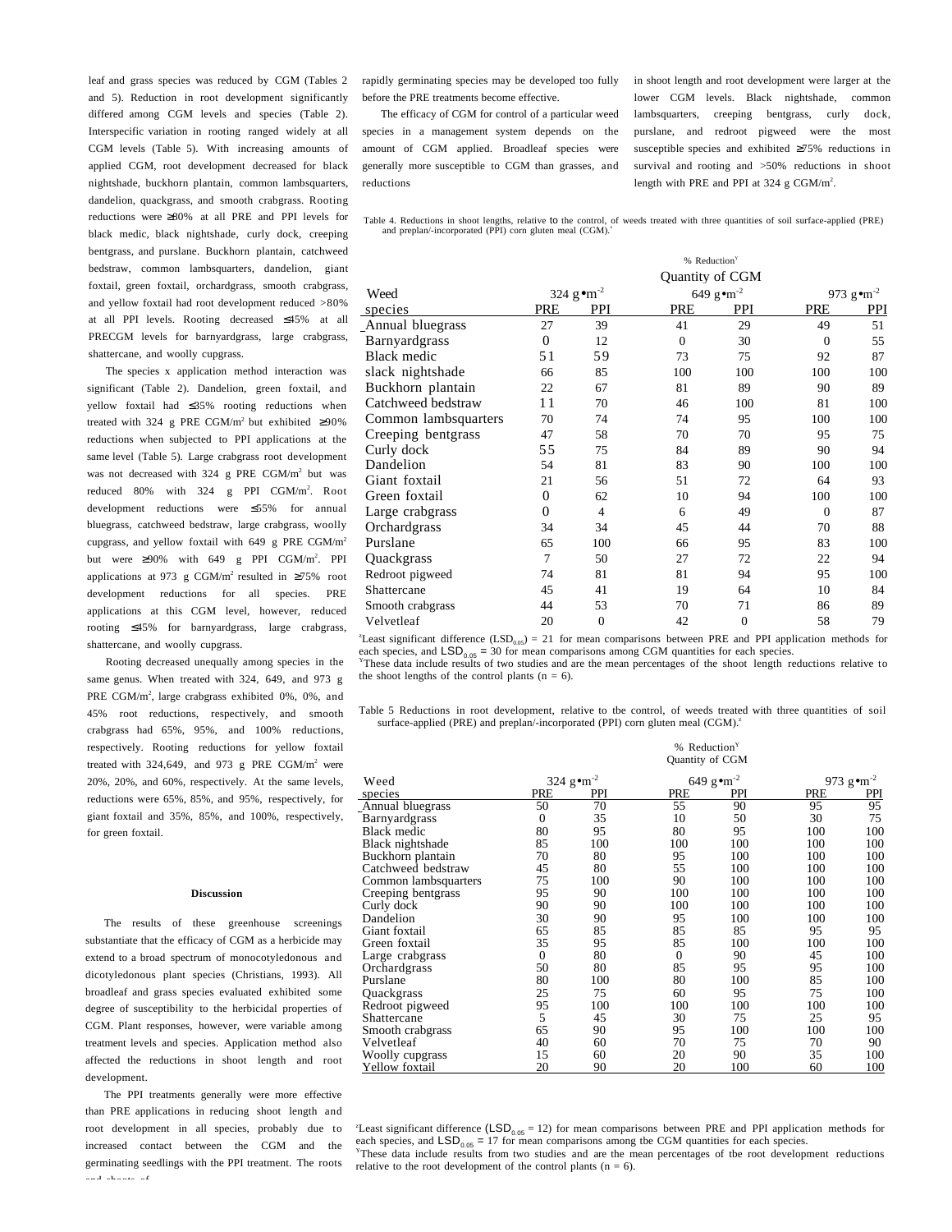leaf and grass species was reduced by CGM (Tables 2 and 5). Reduction in root development significantly differed among CGM levels and species (Table 2). Interspecific variation in rooting ranged widely at all CGM levels (Table 5). With increasing amounts of applied CGM, root development decreased for black nightshade, buckhorn plantain, common lambsquarters, dandelion, quackgrass, and smooth crabgrass. Rooting reductions were ≥80% at all PRE and PPI levels for black medic, black nightshade, curly dock, creeping bentgrass, and purslane. Buckhorn plantain, catchweed bedstraw, common lambsquarters, dandelion, giant foxtail, green foxtail, orchardgrass, smooth crabgrass, and yellow foxtail had root development reduced >80% at all PPI levels. Rooting decreased ≤45% at all PRECGM levels for barnyardgrass, large crabgrass, shattercane, and woolly cupgrass.

The species x application method interaction was significant (Table 2). Dandelion, green foxtail, and yellow foxtail had ≤35% rooting reductions when treated with 324 g PRE CGM/m<sup>2</sup> but exhibited  $\geq 90\%$ reductions when subjected to PPI applications at the same level (Table 5). Large crabgrass root development was not decreased with 324 g PRE CGM/m<sup>2</sup> but was reduced 80% with 324 g PPI CGM/m<sup>2</sup>. Root development reductions were ≤55% for annual bluegrass, catchweed bedstraw, large crabgrass, woolly cupgrass, and yellow foxtail with  $649$  g PRE CGM/m<sup>2</sup> but were  $\geq 90\%$  with 649 g PPI CGM/m<sup>2</sup>. PPI applications at 973 g CGM/m<sup>2</sup> resulted in  $\geq 75\%$  root development reductions for all species. PRE applications at this CGM level, however, reduced rooting ≤45% for barnyardgrass, large crabgrass, shattercane, and woolly cupgrass.

Rooting decreased unequally among species in the same genus. When treated with 324, 649, and 973 g PRE CGM/m<sup>2</sup>, large crabgrass exhibited 0%, 0%, and 45% root reductions, respectively, and smooth crabgrass had 65%, 95%, and 100% reductions, respectively. Rooting reductions for yellow foxtail treated with  $324,649$ , and  $973$  g PRE CGM/m<sup>2</sup> were 20%, 20%, and 60%, respectively. At the same levels, reductions were 65%, 85%, and 95%, respectively, for giant foxtail and 35%, 85%, and 100%, respectively, for green foxtail.

#### **Discussion**

The results of these greenhouse screenings substantiate that the efficacy of CGM as a herbicide may extend to a broad spectrum of monocotyledonous and dicotyledonous plant species (Christians, 1993). All broadleaf and grass species evaluated exhibited some degree of susceptibility to the herbicidal properties of CGM. Plant responses, however, were variable among treatment levels and species. Application method also affected the reductions in shoot length and root development.

The PPI treatments generally were more effective than PRE applications in reducing shoot length and root development in all species, probably due to increased contact between the CGM and the germinating seedlings with the PPI treatment. The roots and shoots of

rapidly germinating species may be developed too fully before the PRE treatments become effective.

The efficacy of CGM for control of a particular weed species in a management system depends on the amount of CGM applied. Broadleaf species were generally more susceptible to CGM than grasses, and reductions

in shoot length and root development were larger at the lower CGM levels. Black nightshade, common lambsquarters, creeping bentgrass, curly dock, purslane, and redroot pigweed were the most susceptible species and exhibited ≥75% reductions in survival and rooting and >50% reductions in shoot length with PRE and PPI at 324 g CGM/m<sup>2</sup>.

Table 4. Reductions in shoot lengths, relative to the control, of weeds treated with three quantities of soil surface-applied (PRE) and preplan/-incorporated (PPI) corn gluten meal (CGM).<sup>2</sup>

|                      | % Reduction <sup>Y</sup>          |                |                 |                     |          |                            |  |
|----------------------|-----------------------------------|----------------|-----------------|---------------------|----------|----------------------------|--|
|                      |                                   |                | Quantity of CGM |                     |          |                            |  |
| Weed                 | 324 $g$ $\bullet$ m <sup>-2</sup> |                |                 | 649 g $\rm cm^{-2}$ |          | 973 g $\rm \bullet m^{-2}$ |  |
| species              | <b>PRE</b>                        | PPI            | <b>PRE</b>      | PPI                 | PRE      | PPI                        |  |
| Annual bluegrass     | 27                                | 39             | 41              | 29                  | 49       | 51                         |  |
| <b>Barnyardgrass</b> | $\theta$                          | 12             | $\Omega$        | 30                  | $\theta$ | 55                         |  |
| <b>Black medic</b>   | 51                                | 59             | 73              | 75                  | 92       | 87                         |  |
| slack nightshade     | 66                                | 85             | 100             | 100                 | 100      | 100                        |  |
| Buckhorn plantain    | 22                                | 67             | 81              | 89                  | 90       | 89                         |  |
| Catchweed bedstraw   | 11                                | 70             | 46              | 100                 | 81       | 100                        |  |
| Common lambsquarters | 70                                | 74             | 74              | 95                  | 100      | 100                        |  |
| Creeping bentgrass   | 47                                | 58             | 70              | 70                  | 95       | 75                         |  |
| Curly dock           | 55                                | 75             | 84              | 89                  | 90       | 94                         |  |
| Dandelion            | 54                                | 81             | 83              | 90                  | 100      | 100                        |  |
| Giant foxtail        | 21                                | 56             | 51              | 72                  | 64       | 93                         |  |
| Green foxtail        | $\overline{0}$                    | 62             | 10              | 94                  | 100      | 100                        |  |
| Large crabgrass      | $\theta$                          | $\overline{4}$ | 6               | 49                  | $\Omega$ | 87                         |  |
| Orchardgrass         | 34                                | 34             | 45              | 44                  | 70       | 88                         |  |
| Purslane             | 65                                | 100            | 66              | 95                  | 83       | 100                        |  |
| Quackgrass           | 7                                 | 50             | 27              | 72                  | 22       | 94                         |  |
| Redroot pigweed      | 74                                | 81             | 81              | 94                  | 95       | 100                        |  |
| Shattercane          | 45                                | 41             | 19              | 64                  | 10       | 84                         |  |
| Smooth crabgrass     | 44                                | 53             | 70              | 71                  | 86       | 89                         |  |
| Velvetleaf           | 20                                | $\theta$       | 42              | $\mathbf{0}$        | 58       | 79                         |  |

Least significant difference  $(LSD_{0.05}) = 21$  for mean comparisons between PRE and PPI application methods for each species, and  $\text{LSD}_{0.05} = 30$  for mean comparisons among CGM quantities for each species.<br><sup>Y</sup>These data include results of two studies and are the mean percentages of the shoot length reductions relative to

the shoot lengths of the control plants  $(n = 6)$ .

Table 5 Reductions in root development, relative to tbe control, of weeds treated with three quantities of soil surface-applied (PRE) and preplan/-incorporated (PPI) corn gluten meal (CGM).<sup>2</sup>

 $%$  Reduction<sup>1</sup>

|                      |                     |            | Quantity of CGM |                            |            |                       |  |
|----------------------|---------------------|------------|-----------------|----------------------------|------------|-----------------------|--|
| Weed                 | 324 g $\rm cm^{-2}$ |            |                 | 649 g $\rm \bullet m^{-2}$ |            | 973 gom <sup>-2</sup> |  |
| species              | PRE                 | <b>PPI</b> | PRE             | <b>PPI</b>                 | <b>PRE</b> | PPI                   |  |
| Annual bluegrass     | 50                  | 70         | 55              | 90                         | 95         | 95                    |  |
| Barnyardgrass        | $\overline{0}$      | 35         | 10              | 50                         | 30         | 75                    |  |
| Black medic          | 80                  | 95         | 80              | 95                         | 100        | 100                   |  |
| Black nightshade     | 85                  | 100        | 100             | 100                        | 100        | 100                   |  |
| Buckhorn plantain    | 70                  | 80         | 95              | 100                        | 100        | 100                   |  |
| Catchweed bedstraw   | 45                  | 80         | 55              | 100                        | 100        | 100                   |  |
| Common lambsquarters | 75                  | 100        | 90              | 100                        | 100        | 100                   |  |
| Creeping bentgrass   | 95                  | 90         | 100             | 100                        | 100        | 100                   |  |
| Curly dock           | 90                  | 90         | 100             | 100                        | 100        | 100                   |  |
| Dandelion            | 30                  | 90         | 95              | 100                        | 100        | 100                   |  |
| Giant foxtail        | 65                  | 85         | 85              | 85                         | 95         | 95                    |  |
| Green foxtail        | 35                  | 95         | 85              | 100                        | 100        | 100                   |  |
| Large crabgrass      | $\mathbf{0}$        | 80         | $\Omega$        | 90                         | 45         | 100                   |  |
| Orchardgrass         | 50                  | 80         | 85              | 95                         | 95         | 100                   |  |
| Purslane             | 80                  | 100        | 80              | 100                        | 85         | 100                   |  |
| Quackgrass           | 25                  | 75         | 60              | 95                         | 75         | 100                   |  |
| Redroot pigweed      | 95                  | 100        | 100             | 100                        | 100        | 100                   |  |
| Shattercane          | 5                   | 45         | 30              | 75                         | 25         | 95                    |  |
| Smooth crabgrass     | 65                  | 90         | 95              | 100                        | 100        | 100                   |  |
| Velvetleaf           | 40                  | 60         | 70              | 75                         | 70         | 90                    |  |
| Woolly cupgrass      | 15                  | 60         | 20              | 90                         | 35         | 100                   |  |
| Yellow foxtail       | 20                  | 90         | 20              | 100                        | 60         | 100                   |  |

Least significant difference  $(LSD_{0.05} = 12)$  for mean comparisons between PRE and PPI application methods for each species, and  $\text{LSD}_{0.05} = 17$  for mean comparisons among tbe CGM quantities for each species. These data include results from two studies and are the mean percentages of tbe root development reductions relative to the root development of the control plants  $(n = 6)$ .